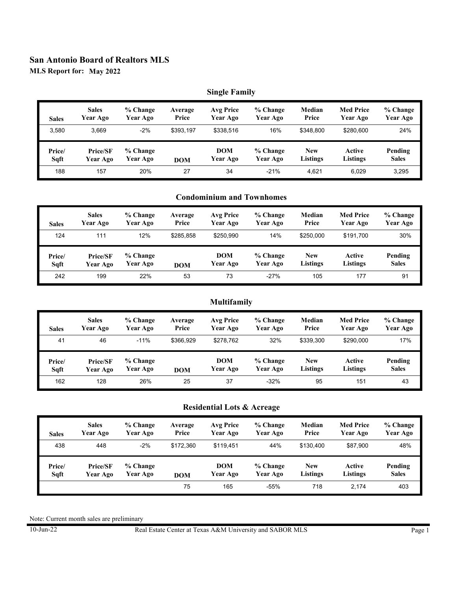**MLS Report for: May 2022**

## **Single Family**

| <b>Sales</b> | <b>Sales</b> | % Change | Average    | <b>Avg Price</b> | % Change | Median     | <b>Med Price</b> | % Change     |
|--------------|--------------|----------|------------|------------------|----------|------------|------------------|--------------|
|              | Year Ago     | Year Ago | Price      | Year Ago         | Year Ago | Price      | Year Ago         | Year Ago     |
| 3.580        | 3.669        | $-2%$    | \$393.197  | \$338,516        | 16%      | \$348.800  | \$280.600        | 24%          |
| Price/       | Price/SF     | % Change | <b>DOM</b> | <b>DOM</b>       | % Change | <b>New</b> | Active           | Pending      |
| Sqft         | Year Ago     | Year Ago |            | Year Ago         | Year Ago | Listings   | Listings         | <b>Sales</b> |
| 188          | 157          | 20%      | 27         | 34               | $-21%$   | 4.621      | 6.029            | 3,295        |

## **Condominium and Townhomes**

| <b>Sales</b> | <b>Sales</b>    | % Change | Average    | Avg Price  | % Change | Median     | <b>Med Price</b> | % Change     |
|--------------|-----------------|----------|------------|------------|----------|------------|------------------|--------------|
|              | Year Ago        | Year Ago | Price      | Year Ago   | Year Ago | Price      | Year Ago         | Year Ago     |
| 124          | 111             | 12%      | \$285,858  | \$250,990  | 14%      | \$250,000  | \$191,700        | 30%          |
| Price/       | <b>Price/SF</b> | % Change | <b>DOM</b> | <b>DOM</b> | % Change | <b>New</b> | Active           | Pending      |
| Sqft         | Year Ago        | Year Ago |            | Year Ago   | Year Ago | Listings   | Listings         | <b>Sales</b> |
| 242          | 199             | 22%      | 53         | 73         | $-27%$   | 105        | 177              | 91           |

## **Multifamily**

| <b>Sales</b> | <b>Sales</b><br>Year Ago | % Change<br>Year Ago | Average<br>Price | Avg Price<br>Year Ago | % Change<br>Year Ago | Median<br>Price | <b>Med Price</b><br>Year Ago | % Change<br>Year Ago |
|--------------|--------------------------|----------------------|------------------|-----------------------|----------------------|-----------------|------------------------------|----------------------|
| 41           | 46                       | $-11%$               | \$366.929        | \$278.762             | 32%                  | \$339.300       | \$290,000                    | 17%                  |
| Price/       | Price/SF                 | % Change             |                  | <b>DOM</b>            | % Change             | <b>New</b>      | Active                       | Pending              |
| Sqft         | Year Ago                 | Year Ago             | <b>DOM</b>       | Year Ago              | Year Ago             | <b>Listings</b> | Listings                     | <b>Sales</b>         |

## **Residential Lots & Acreage**

| <b>Sales</b> | <b>Sales</b> | % Change | Average    | Avg Price  | % Change | Median     | <b>Med Price</b> | % Change     |
|--------------|--------------|----------|------------|------------|----------|------------|------------------|--------------|
|              | Year Ago     | Year Ago | Price      | Year Ago   | Year Ago | Price      | Year Ago         | Year Ago     |
| 438          | 448          | $-2%$    | \$172.360  | \$119.451  | 44%      | \$130.400  | \$87.900         | 48%          |
| Price/       | Price/SF     | % Change | <b>DOM</b> | <b>DOM</b> | % Change | <b>New</b> | Active           | Pending      |
| Sqft         | Year Ago     | Year Ago |            | Year Ago   | Year Ago | Listings   | <b>Listings</b>  | <b>Sales</b> |
|              |              |          | 75         | 165        | $-55%$   | 718        | 2.174            | 403          |

Note: Current month sales are preliminary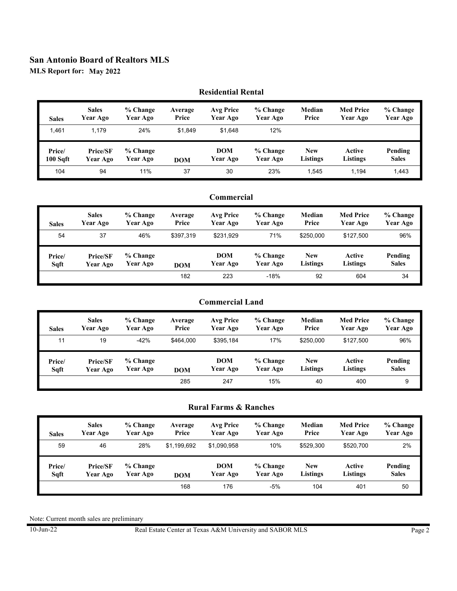**MLS Report for: May 2022**

#### **Residential Rental** 1,461 **Sales Sales Year Ago % Change Year Ago** 1,179 24% **Average Price** \$1,849 \$1,648 **Avg Price Year Ago % Change Year Ago** 12% **Median Price Med Price Year Ago % Change Year Ago** 104 **% Change Year Ago** 94 11% **DOM** 37 30 **DOM Year Ago % Change Year Ago** 23% **New Listings Active Listings Pending Sales** 1,545 1,194 1,443  **Price/SF Year Ago Price/ 100 Sqft**

#### **Commercial** 54 **Sales Sales Year Ago % Change Year Ago** 37 46% **Average Price** \$397,319 \$231,929 **Avg Price Year Ago % Change Year Ago** 71% **Median Price Med Price Year Ago % Change Year Ago** \$250,000 \$127,500 96% **% Change** Year Ago **DOM** 182 223 **DOM Year Ago % Change Year Ago** -18% **New Listings Active Listings Pending Sales** 92 604 34  **Price/SF Year Ago Price/ Sqft**

## **Commercial Land**

| <b>Sales</b> | <b>Sales</b>    | % Change | Average    | Avg Price  | % Change | Median     | <b>Med Price</b> | % Change     |
|--------------|-----------------|----------|------------|------------|----------|------------|------------------|--------------|
|              | Year Ago        | Year Ago | Price      | Year Ago   | Year Ago | Price      | Year Ago         | Year Ago     |
| 11           | 19              | $-42%$   | \$464.000  | \$395.184  | 17%      | \$250,000  | \$127.500        | 96%          |
| Price/       | <b>Price/SF</b> | % Change |            | <b>DOM</b> | % Change | <b>New</b> | Active           | Pending      |
| Sqft         | Year Ago        | Year Ago |            | Year Ago   | Year Ago | Listings   | Listings         | <b>Sales</b> |
|              |                 |          | <b>DOM</b> |            |          |            |                  |              |

## **Rural Farms & Ranches**

| <b>Sales</b> | <b>Sales</b>    | % Change | Average     | Avg Price   | % Change | Median          | <b>Med Price</b> | % Change     |
|--------------|-----------------|----------|-------------|-------------|----------|-----------------|------------------|--------------|
|              | Year Ago        | Year Ago | Price       | Year Ago    | Year Ago | Price           | Year Ago         | Year Ago     |
| 59           | 46              | 28%      | \$1.199.692 | \$1,090,958 | 10%      | \$529.300       | \$520,700        | 2%           |
| Price/       | <b>Price/SF</b> | % Change | <b>DOM</b>  | <b>DOM</b>  | % Change | <b>New</b>      | Active           | Pending      |
| Sqft         | Year Ago        | Year Ago |             | Year Ago    | Year Ago | <b>Listings</b> | Listings         | <b>Sales</b> |
|              |                 |          | 168         | 176         | $-5%$    | 104             | 401              | 50           |

Note: Current month sales are preliminary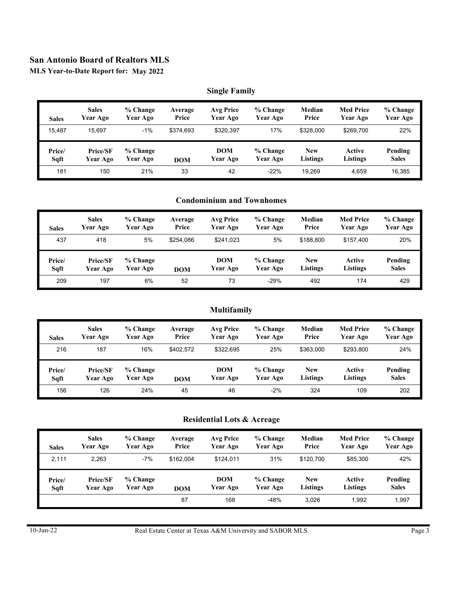**MLS Year-to-Date Report for: May 2022**

### **Single Family**

| <b>Sales</b> | <b>Sales</b> | % Change | Average    | <b>Avg Price</b> | % Change | Median     | <b>Med Price</b> | $%$ Change   |
|--------------|--------------|----------|------------|------------------|----------|------------|------------------|--------------|
|              | Year Ago     | Year Ago | Price      | Year Ago         | Year Ago | Price      | Year Ago         | Year Ago     |
| 15.487       | 15.697       | $-1\%$   | \$374.693  | \$320.397        | 17%      | \$328,000  | \$269.700        | 22%          |
| Price/       | Price/SF     | % Change | <b>DOM</b> | <b>DOM</b>       | % Change | <b>New</b> | Active           | Pending      |
| Sqft         | Year Ago     | Year Ago |            | Year Ago         | Year Ago | Listings   | Listings         | <b>Sales</b> |
| 181          | 150          | 21%      | 33         | 42               | $-22%$   | 19.269     | 4.659            | 16,385       |

## **Condominium and Townhomes**

| <b>Sales</b> | <b>Sales</b>    | % Change | Average    | Avg Price  | % Change | Median    | <b>Med Price</b> | % Change     |
|--------------|-----------------|----------|------------|------------|----------|-----------|------------------|--------------|
|              | Year Ago        | Year Ago | Price      | Year Ago   | Year Ago | Price     | Year Ago         | Year Ago     |
| 437          | 418             | 5%       | \$254.086  | \$241.023  | 5%       | \$188.800 | \$157.400        | 20%          |
|              |                 |          |            |            |          |           |                  |              |
| Price/       | <b>Price/SF</b> | % Change | <b>DOM</b> | <b>DOM</b> | % Change | New       | Active           | Pending      |
| Sqft         | Year Ago        | Year Ago |            | Year Ago   | Year Ago | Listings  | <b>Listings</b>  | <b>Sales</b> |

## **Multifamily**

| <b>Sales</b> | <b>Sales</b>    | % Change | Average    | Avg Price  | % Change | Median    | <b>Med Price</b> | % Change     |
|--------------|-----------------|----------|------------|------------|----------|-----------|------------------|--------------|
|              | Year Ago        | Year Ago | Price      | Year Ago   | Year Ago | Price     | Year Ago         | Year Ago     |
| 216          | 187             | 16%      | \$402.572  | \$322.695  | 25%      | \$363,000 | \$293.800        | 24%          |
|              |                 |          |            |            |          |           |                  |              |
| Price/       | <b>Price/SF</b> | % Change | <b>DOM</b> | <b>DOM</b> | % Change | New       | Active           | Pending      |
| Sqft         | Year Ago        | Year Ago |            | Year Ago   | Year Ago | Listings  | Listings         | <b>Sales</b> |

## **Residential Lots & Acreage**

| <b>Sales</b> | <b>Sales</b>    | % Change | Average    | Avg Price  | % Change | Median     | <b>Med Price</b> | % Change     |
|--------------|-----------------|----------|------------|------------|----------|------------|------------------|--------------|
|              | Year Ago        | Year Ago | Price      | Year Ago   | Year Ago | Price      | Year Ago         | Year Ago     |
| 2.111        | 2,263           | $-7%$    | \$162.004  | \$124.011  | 31%      | \$120.700  | \$85,300         | 42%          |
| Price/       | <b>Price/SF</b> | % Change | <b>DOM</b> | <b>DOM</b> | % Change | <b>New</b> | Active           | Pending      |
| Sqft         | Year Ago        | Year Ago |            | Year Ago   | Year Ago | Listings   | <b>Listings</b>  | <b>Sales</b> |
|              |                 |          |            |            |          | 3.026      | 1.992            | 1,997        |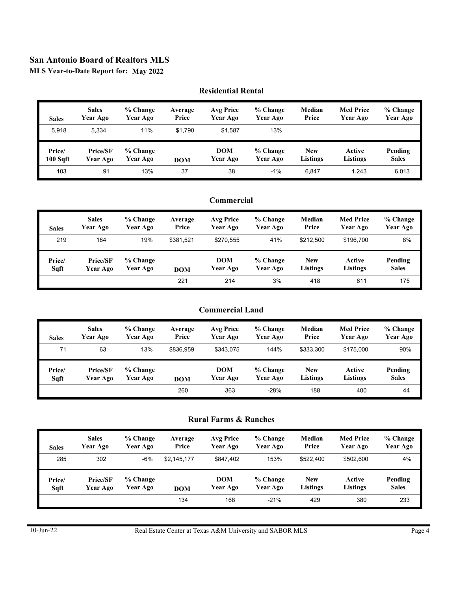**MLS Year-to-Date Report for: May 2022**

|                       | Residential Ischtaf         |                      |                  |                              |                      |                               |                              |                               |  |  |  |
|-----------------------|-----------------------------|----------------------|------------------|------------------------------|----------------------|-------------------------------|------------------------------|-------------------------------|--|--|--|
| <b>Sales</b>          | <b>Sales</b><br>Year Ago    | % Change<br>Year Ago | Average<br>Price | <b>Avg Price</b><br>Year Ago | % Change<br>Year Ago | Median<br>Price               | <b>Med Price</b><br>Year Ago | $%$ Change<br><b>Year Ago</b> |  |  |  |
| 5.918                 | 5.334                       | 11%                  | \$1,790          | \$1,587                      | 13%                  |                               |                              |                               |  |  |  |
| Price/<br>$100 S$ gft | <b>Price/SF</b><br>Year Ago | % Change<br>Year Ago | <b>DOM</b>       | <b>DOM</b><br>Year Ago       | % Change<br>Year Ago | <b>New</b><br><b>Listings</b> | Active<br>Listings           | Pending<br><b>Sales</b>       |  |  |  |
| 103                   | 91                          | 13%                  | 37               | 38                           | $-1%$                | 6.847                         | 1,243                        | 6,013                         |  |  |  |

#### **Residential Rental**

## **Commercial**

| <b>Sales</b> | <b>Sales</b>    | % Change | Average    | <b>Avg Price</b> | % Change | Median     | <b>Med Price</b> | % Change     |
|--------------|-----------------|----------|------------|------------------|----------|------------|------------------|--------------|
|              | Year Ago        | Year Ago | Price      | Year Ago         | Year Ago | Price      | Year Ago         | Year Ago     |
| 219          | 184             | 19%      | \$381,521  | \$270.555        | 41%      | \$212.500  | \$196.700        | 8%           |
| Price/       | <b>Price/SF</b> | % Change | <b>DOM</b> | <b>DOM</b>       | % Change | <b>New</b> | Active           | Pending      |
| Sqft         | Year Ago        | Year Ago |            | Year Ago         | Year Ago | Listings   | Listings         | <b>Sales</b> |
|              |                 |          | 221        | 214              | 3%       | 418        | 611              | 175          |

## **Commercial Land**

| <b>Sales</b> | <b>Sales</b>    | % Change | Average    | Avg Price  | % Change | Median     | <b>Med Price</b> | $%$ Change   |
|--------------|-----------------|----------|------------|------------|----------|------------|------------------|--------------|
|              | Year Ago        | Year Ago | Price      | Year Ago   | Year Ago | Price      | Year Ago         | Year Ago     |
| 71           | 63              | 13%      | \$836.959  | \$343.075  | 144%     | \$333,300  | \$175,000        | 90%          |
|              |                 |          |            |            |          |            |                  |              |
| Price/       | <b>Price/SF</b> | % Change | <b>DOM</b> | <b>DOM</b> | % Change | <b>New</b> | Active           | Pending      |
| Sqft         | Year Ago        | Year Ago |            | Year Ago   | Year Ago | Listings   | <b>Listings</b>  | <b>Sales</b> |

### **Rural Farms & Ranches**

| <b>Sales</b> | <b>Sales</b>    | % Change | Average     | Avg Price  | % Change | Median     | <b>Med Price</b> | % Change     |
|--------------|-----------------|----------|-------------|------------|----------|------------|------------------|--------------|
|              | Year Ago        | Year Ago | Price       | Year Ago   | Year Ago | Price      | Year Ago         | Year Ago     |
| 285          | 302             | $-6%$    | \$2,145,177 | \$847.402  | 153%     | \$522,400  | \$502,600        | 4%           |
| Price/       | <b>Price/SF</b> | % Change | <b>DOM</b>  | <b>DOM</b> | % Change | <b>New</b> | Active           | Pending      |
| Sqft         | Year Ago        | Year Ago |             | Year Ago   | Year Ago | Listings   | <b>Listings</b>  | <b>Sales</b> |
|              |                 |          | 134         | 168        | $-21%$   | 429        | 380              | 233          |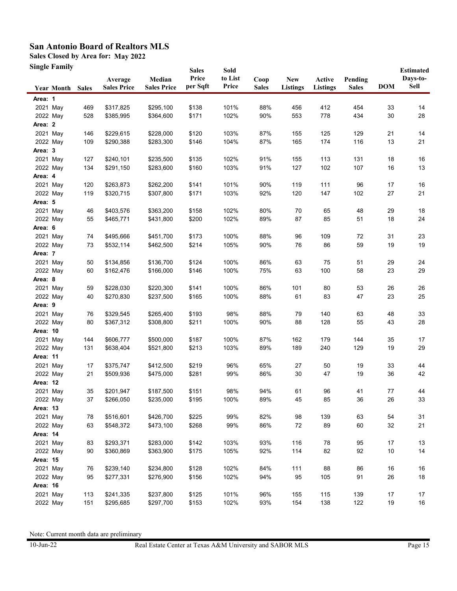**Sales Closed by Area for: May 2022**

**Single Family**

|                 | эніде ғашпу             |            | Average<br><b>Sales Price</b> | Median<br><b>Sales Price</b> | <b>Sales</b><br>Price<br>per Sqft | Sold<br>to List<br>Price | Coop<br><b>Sales</b> | <b>New</b><br><b>Listings</b> | Active<br><b>Listings</b> | Pending<br><b>Sales</b> | <b>DOM</b> | <b>Estimated</b><br>Days-to-<br>Sell |
|-----------------|-------------------------|------------|-------------------------------|------------------------------|-----------------------------------|--------------------------|----------------------|-------------------------------|---------------------------|-------------------------|------------|--------------------------------------|
|                 | <b>Year Month Sales</b> |            |                               |                              |                                   |                          |                      |                               |                           |                         |            |                                      |
| Area: 1         |                         |            |                               |                              |                                   |                          |                      |                               |                           |                         |            |                                      |
|                 | 2021 May                | 469        | \$317,825                     | \$295,100                    | \$138                             | 101%                     | 88%                  | 456                           | 412                       | 454                     | 33         | 14                                   |
|                 | 2022 May                | 528        | \$385,995                     | \$364,600                    | \$171                             | 102%                     | 90%                  | 553                           | 778                       | 434                     | 30         | 28                                   |
| Area: 2         |                         |            |                               |                              |                                   |                          |                      |                               |                           |                         |            |                                      |
|                 | 2021 May                | 146        | \$229,615                     | \$228,000                    | \$120                             | 103%                     | 87%                  | 155                           | 125                       | 129                     | 21         | 14                                   |
|                 | 2022 May                | 109        | \$290,388                     | \$283,300                    | \$146                             | 104%                     | 87%                  | 165                           | 174                       | 116                     | 13         | 21                                   |
| Area: 3         |                         |            |                               |                              |                                   |                          |                      |                               |                           |                         |            |                                      |
|                 | 2021 May                | 127        | \$240,101                     | \$235,500                    | \$135                             | 102%                     | 91%                  | 155                           | 113                       | 131                     | 18         | 16                                   |
|                 | 2022 May                | 134        | \$291,150                     | \$283,600                    | \$160                             | 103%                     | 91%                  | 127                           | 102                       | 107                     | 16         | 13                                   |
| Area: 4         |                         |            |                               |                              |                                   |                          |                      |                               |                           |                         |            |                                      |
|                 | 2021 May                | 120        | \$263,873                     | \$262,200                    | \$141                             | 101%                     | 90%                  | 119                           | 111                       | 96                      | 17         | 16                                   |
|                 | 2022 May                | 119        | \$320,715                     | \$307,800                    | \$171                             | 103%                     | 92%                  | 120                           | 147                       | 102                     | 27         | 21                                   |
| Area: 5         |                         |            |                               |                              |                                   |                          |                      |                               |                           |                         |            |                                      |
|                 | 2021 May                | 46         | \$403,576                     | \$363,200                    | \$158                             | 102%                     | 80%                  | 70                            | 65                        | 48                      | 29         | 18                                   |
|                 | 2022 May                | 55         | \$465,771                     | \$431,800                    | \$200                             | 102%                     | 89%                  | 87                            | 85                        | 51                      | 18         | 24                                   |
| Area: 6         |                         |            |                               |                              |                                   |                          |                      |                               |                           |                         |            |                                      |
|                 | 2021 May                | 74         | \$495,666                     | \$451,700                    | \$173                             | 100%                     | 88%                  | 96                            | 109                       | 72                      | 31         | 23                                   |
|                 | 2022 May                | 73         | \$532,114                     | \$462,500                    | \$214                             | 105%                     | 90%                  | 76                            | 86                        | 59                      | 19         | 19                                   |
| Area: 7         |                         |            |                               |                              |                                   |                          |                      |                               |                           |                         |            |                                      |
|                 | 2021 May                | 50         | \$134,856                     | \$136,700                    | \$124                             | 100%                     | 86%                  | 63                            | 75                        | 51                      | 29         | 24                                   |
|                 | 2022 May                | 60         | \$162,476                     | \$166,000                    | \$146                             | 100%                     | 75%                  | 63                            | 100                       | 58                      | 23         | 29                                   |
| Area: 8         |                         |            |                               |                              |                                   |                          |                      |                               |                           |                         |            |                                      |
|                 | 2021 May                | 59<br>40   | \$228,030                     | \$220,300                    | \$141                             | 100%                     | 86%                  | 101                           | 80                        | 53                      | 26         | 26                                   |
|                 | 2022 May                |            | \$270,830                     | \$237,500                    | \$165                             | 100%                     | 88%                  | 61                            | 83                        | 47                      | 23         | 25                                   |
| Area: 9         |                         |            |                               |                              |                                   |                          |                      |                               |                           |                         |            |                                      |
|                 | 2021 May                | 76         | \$329,545                     | \$265,400                    | \$193                             | 98%                      | 88%                  | 79                            | 140                       | 63                      | 48         | 33                                   |
| Area: 10        | 2022 May                | 80         | \$367,312                     | \$308,800                    | \$211                             | 100%                     | 90%                  | 88                            | 128                       | 55                      | 43         | 28                                   |
|                 |                         |            |                               |                              |                                   |                          |                      |                               |                           |                         |            |                                      |
|                 | 2021 May<br>2022 May    | 144<br>131 | \$606,777<br>\$638,404        | \$500,000<br>\$521,800       | \$187<br>\$213                    | 100%<br>103%             | 87%<br>89%           | 162<br>189                    | 179<br>240                | 144<br>129              | 35<br>19   | 17<br>29                             |
| Area: 11        |                         |            |                               |                              |                                   |                          |                      |                               |                           |                         |            |                                      |
|                 | 2021 May                | 17         | \$375,747                     | \$412,500                    | \$219                             | 96%                      | 65%                  | 27                            | 50                        | 19                      | 33         | 44                                   |
|                 | 2022 May                | 21         | \$509,936                     | \$475,000                    | \$281                             | 99%                      | 86%                  | 30                            | 47                        | 19                      | 36         | 42                                   |
| Area: 12        |                         |            |                               |                              |                                   |                          |                      |                               |                           |                         |            |                                      |
|                 | 2021 May                | 35         | \$201,947                     | \$187,500                    | \$151                             | 98%                      | 94%                  | 61                            | 96                        | 41                      | 77         | 44                                   |
|                 | 2022 May                | 37         | \$266,050                     | \$235,000                    | \$195                             | 100%                     | 89%                  | 45                            | 85                        | 36                      | 26         | 33                                   |
| Area: 13        |                         |            |                               |                              |                                   |                          |                      |                               |                           |                         |            |                                      |
|                 | 2021 May                | 78         | \$516,601                     | \$426,700                    | \$225                             | 99%                      | 82%                  | 98                            | 139                       | 63                      | 54         | 31                                   |
|                 | 2022 May                | 63         | \$548,372                     | \$473,100                    | \$268                             | 99%                      | 86%                  | 72                            | 89                        | 60                      | 32         | 21                                   |
| Area: 14        |                         |            |                               |                              |                                   |                          |                      |                               |                           |                         |            |                                      |
|                 | 2021 May                | 83         | \$293,371                     | \$283,000                    | \$142                             | 103%                     | 93%                  | 116                           | 78                        | 95                      | 17         | 13                                   |
|                 | 2022 May                | 90         | \$360,869                     | \$363,900                    | \$175                             | 105%                     | 92%                  | 114                           | 82                        | 92                      | 10         | 14                                   |
| <b>Area: 15</b> |                         |            |                               |                              |                                   |                          |                      |                               |                           |                         |            |                                      |
|                 | 2021 May                | 76         | \$239,140                     | \$234,800                    | \$128                             | 102%                     | 84%                  | 111                           | 88                        | 86                      | 16         | 16                                   |
|                 | 2022 May                | 95         | \$277,331                     | \$276,900                    | \$156                             | 102%                     | 94%                  | 95                            | 105                       | 91                      | 26         | 18                                   |
| Area: 16        |                         |            |                               |                              |                                   |                          |                      |                               |                           |                         |            |                                      |
|                 | 2021 May                | 113        | \$241,335                     | \$237,800                    | \$125                             | 101%                     | 96%                  | 155                           | 115                       | 139                     | 17         | 17                                   |
|                 | 2022 May                | 151        | \$295,685                     | \$297,700                    | \$153                             | 102%                     | 93%                  | 154                           | 138                       | 122                     | 19         | 16                                   |
|                 |                         |            |                               |                              |                                   |                          |                      |                               |                           |                         |            |                                      |

Note: Current month data are preliminary